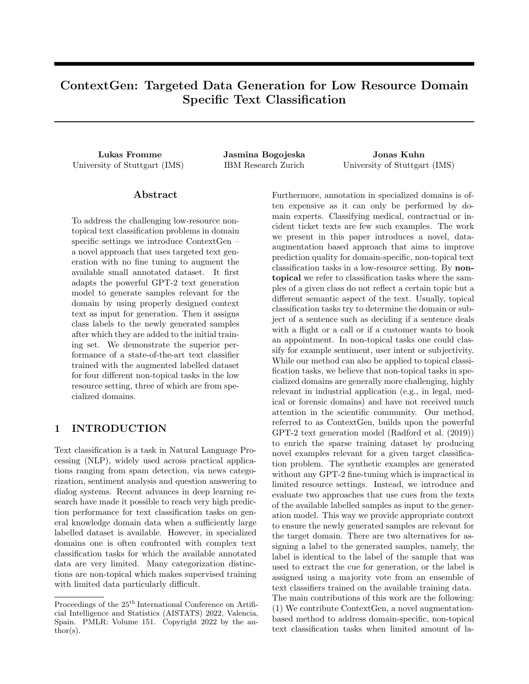# ContextGen: Targeted Data Generation for Low Resource Domain Specific Text Classification

Lukas Fromme Jasmina Bogojeska Jonas Kuhn University of Stuttgart (IMS) IBM Research Zurich University of Stuttgart (IMS)

### Abstract

To address the challenging low-resource nontopical text classification problems in domain specific settings we introduce ContextGen – a novel approach that uses targeted text generation with no fine tuning to augment the available small annotated dataset. It first adapts the powerful GPT-2 text generation model to generate samples relevant for the domain by using properly designed context text as input for generation. Then it assigns class labels to the newly generated samples after which they are added to the initial training set. We demonstrate the superior performance of a state-of-the-art text classifier trained with the augmented labelled dataset for four different non-topical tasks in the low resource setting, three of which are from specialized domains.

# 1 INTRODUCTION

Text classification is a task in Natural Language Processing (NLP), widely used across practical applications ranging from spam detection, via news categorization, sentiment analysis and question answering to dialog systems. Recent advances in deep learning research have made it possible to reach very high prediction performance for text classification tasks on general knowledge domain data when a sufficiently large labelled dataset is available. However, in specialized domains one is often confronted with complex text classification tasks for which the available annotated data are very limited. Many categorization distinctions are non-topical which makes supervised training with limited data particularly difficult.

Furthermore, annotation in specialized domains is often expensive as it can only be performed by domain experts. Classifying medical, contractual or incident ticket texts are few such examples. The work we present in this paper introduces a novel, dataaugmentation based approach that aims to improve prediction quality for domain-specific, non-topical text classification tasks in a low-resource setting. By nontopical we refer to classification tasks where the samples of a given class do not reflect a certain topic but a different semantic aspect of the text. Usually, topical classification tasks try to determine the domain or subject of a sentence such as deciding if a sentence deals with a flight or a call or if a customer wants to book an appointment. In non-topical tasks one could classify for example sentiment, user intent or subjectivity. While our method can also be applied to topical classification tasks, we believe that non-topical tasks in specialized domains are generally more challenging, highly relevant in industrial application (e.g., in legal, medical or forensic domains) and have not received much attention in the scientific community. Our method, referred to as ContextGen, builds upon the powerful GPT-2 text generation model (Radford et al. (2019)) to enrich the sparse training dataset by producing novel examples relevant for a given target classification problem. The synthetic examples are generated without any GPT-2 fine-tuning which is impractical in limited resource settings. Instead, we introduce and evaluate two approaches that use cues from the texts of the available labelled samples as input to the generation model. This way we provide appropriate context to ensure the newly generated samples are relevant for the target domain. There are two alternatives for assigning a label to the generated samples, namely, the label is identical to the label of the sample that was used to extract the cue for generation, or the label is assigned using a majority vote from an ensemble of text classifiers trained on the available training data. The main contributions of this work are the following: (1) We contribute ContextGen, a novel augmentationbased method to address domain-specific, non-topical text classification tasks when limited amount of la-

Proceedings of the  $25<sup>th</sup>$  International Conference on Artificial Intelligence and Statistics (AISTATS) 2022, Valencia, Spain. PMLR: Volume 151. Copyright 2022 by the au- $\text{thor}(s)$ .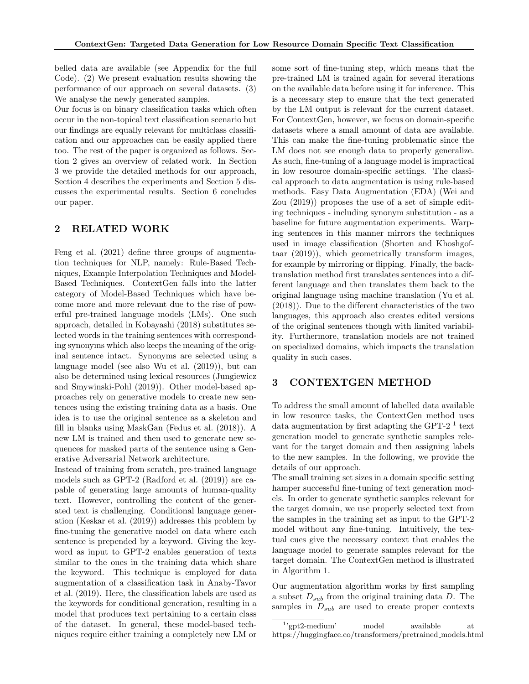belled data are available (see Appendix for the full Code). (2) We present evaluation results showing the performance of our approach on several datasets. (3) We analyse the newly generated samples.

Our focus is on binary classification tasks which often occur in the non-topical text classification scenario but our findings are equally relevant for multiclass classification and our approaches can be easily applied there too. The rest of the paper is organized as follows. Section 2 gives an overview of related work. In Section 3 we provide the detailed methods for our approach, Section 4 describes the experiments and Section 5 discusses the experimental results. Section 6 concludes our paper.

# 2 RELATED WORK

Feng et al. (2021) define three groups of augmentation techniques for NLP, namely: Rule-Based Techniques, Example Interpolation Techniques and Model-Based Techniques. ContextGen falls into the latter category of Model-Based Techniques which have become more and more relevant due to the rise of powerful pre-trained language models (LMs). One such approach, detailed in Kobayashi (2018) substitutes selected words in the training sentences with corresponding synonyms which also keeps the meaning of the original sentence intact. Synonyms are selected using a language model (see also Wu et al. (2019)), but can also be determined using lexical resources (Jungiewicz and Smywinski-Pohl (2019)). Other model-based approaches rely on generative models to create new sentences using the existing training data as a basis. One idea is to use the original sentence as a skeleton and fill in blanks using MaskGan (Fedus et al. (2018)). A new LM is trained and then used to generate new sequences for masked parts of the sentence using a Generative Adversarial Network architecture.

Instead of training from scratch, pre-trained language models such as GPT-2 (Radford et al. (2019)) are capable of generating large amounts of human-quality text. However, controlling the content of the generated text is challenging. Conditional language generation (Keskar et al. (2019)) addresses this problem by fine-tuning the generative model on data where each sentence is prepended by a keyword. Giving the keyword as input to GPT-2 enables generation of texts similar to the ones in the training data which share the keyword. This technique is employed for data augmentation of a classification task in Anaby-Tavor et al. (2019). Here, the classification labels are used as the keywords for conditional generation, resulting in a model that produces text pertaining to a certain class of the dataset. In general, these model-based techniques require either training a completely new LM or some sort of fine-tuning step, which means that the pre-trained LM is trained again for several iterations on the available data before using it for inference. This is a necessary step to ensure that the text generated by the LM output is relevant for the current dataset. For ContextGen, however, we focus on domain-specific datasets where a small amount of data are available. This can make the fine-tuning problematic since the LM does not see enough data to properly generalize. As such, fine-tuning of a language model is impractical in low resource domain-specific settings. The classical approach to data augmentation is using rule-based methods. Easy Data Augmentation (EDA) (Wei and Zou (2019)) proposes the use of a set of simple editing techniques - including synonym substitution - as a baseline for future augmentation experiments. Warping sentences in this manner mirrors the techniques used in image classification (Shorten and Khoshgoftaar (2019)), which geometrically transform images, for example by mirroring or flipping. Finally, the backtranslation method first translates sentences into a different language and then translates them back to the original language using machine translation (Yu et al. (2018)). Due to the different characteristics of the two languages, this approach also creates edited versions of the original sentences though with limited variability. Furthermore, translation models are not trained on specialized domains, which impacts the translation quality in such cases.

# 3 CONTEXTGEN METHOD

To address the small amount of labelled data available in low resource tasks, the ContextGen method uses data augmentation by first adapting the GPT-2<sup> $1$ </sup> text generation model to generate synthetic samples relevant for the target domain and then assigning labels to the new samples. In the following, we provide the details of our approach.

The small training set sizes in a domain specific setting hamper successful fine-tuning of text generation models. In order to generate synthetic samples relevant for the target domain, we use properly selected text from the samples in the training set as input to the GPT-2 model without any fine-tuning. Intuitively, the textual cues give the necessary context that enables the language model to generate samples relevant for the target domain. The ContextGen method is illustrated in Algorithm 1.

Our augmentation algorithm works by first sampling a subset  $D_{sub}$  from the original training data D. The samples in  $D_{sub}$  are used to create proper contexts

<sup>1</sup> 'gpt2-medium' model available at https://huggingface.co/transformers/pretrained models.html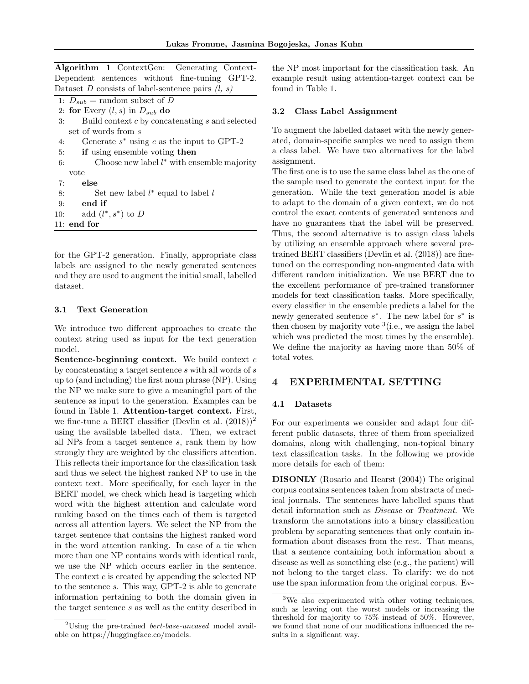Algorithm 1 ContextGen: Generating Context-Dependent sentences without fine-tuning GPT-2. Dataset D consists of label-sentence pairs  $(l, s)$ 

- 1:  $D_{sub}$  = random subset of D
- 2: for Every  $(l, s)$  in  $D_{sub}$  do
- 3: Build context  $c$  by concatenating  $s$  and selected set of words from s
- 4: Generate  $s^*$  using c as the input to GPT-2
- 5: if using ensemble voting then
- 6: Choose new label  $l^*$  with ensemble majority vote
- 7: else

```
8: Set new label l^* equal to label l9: end if
10: add (l^*, s^*) to D
11: end for
```
for the GPT-2 generation. Finally, appropriate class labels are assigned to the newly generated sentences and they are used to augment the initial small, labelled dataset.

### 3.1 Text Generation

We introduce two different approaches to create the context string used as input for the text generation model.

Sentence-beginning context. We build context  $c$ by concatenating a target sentence s with all words of s up to (and including) the first noun phrase (NP). Using the NP we make sure to give a meaningful part of the sentence as input to the generation. Examples can be found in Table 1. Attention-target context. First, we fine-tune a BERT classifier (Devlin et al.  $(2018))^2$ using the available labelled data. Then, we extract all NPs from a target sentence s, rank them by how strongly they are weighted by the classifiers attention. This reflects their importance for the classification task and thus we select the highest ranked NP to use in the context text. More specifically, for each layer in the BERT model, we check which head is targeting which word with the highest attention and calculate word ranking based on the times each of them is targeted across all attention layers. We select the NP from the target sentence that contains the highest ranked word in the word attention ranking. In case of a tie when more than one NP contains words with identical rank, we use the NP which occurs earlier in the sentence. The context  $c$  is created by appending the selected NP to the sentence s. This way, GPT-2 is able to generate information pertaining to both the domain given in the target sentence s as well as the entity described in

the NP most important for the classification task. An example result using attention-target context can be found in Table 1.

#### 3.2 Class Label Assignment

To augment the labelled dataset with the newly generated, domain-specific samples we need to assign them a class label. We have two alternatives for the label assignment.

The first one is to use the same class label as the one of the sample used to generate the context input for the generation. While the text generation model is able to adapt to the domain of a given context, we do not control the exact contents of generated sentences and have no guarantees that the label will be preserved. Thus, the second alternative is to assign class labels by utilizing an ensemble approach where several pretrained BERT classifiers (Devlin et al. (2018)) are finetuned on the corresponding non-augmented data with different random initialization. We use BERT due to the excellent performance of pre-trained transformer models for text classification tasks. More specifically, every classifier in the ensemble predicts a label for the newly generated sentence  $s^*$ . The new label for  $s^*$  is then chosen by majority vote  $3$  (i.e., we assign the label which was predicted the most times by the ensemble). We define the majority as having more than 50% of total votes.

### 4 EXPERIMENTAL SETTING

### 4.1 Datasets

For our experiments we consider and adapt four different public datasets, three of them from specialized domains, along with challenging, non-topical binary text classification tasks. In the following we provide more details for each of them:

DISONLY (Rosario and Hearst (2004)) The original corpus contains sentences taken from abstracts of medical journals. The sentences have labelled spans that detail information such as Disease or Treatment. We transform the annotations into a binary classification problem by separating sentences that only contain information about diseases from the rest. That means, that a sentence containing both information about a disease as well as something else (e.g., the patient) will not belong to the target class. To clarify: we do not use the span information from the original corpus. Ev-

<sup>2</sup>Using the pre-trained bert-base-uncased model available on https://huggingface.co/models.

<sup>&</sup>lt;sup>3</sup>We also experimented with other voting techniques, such as leaving out the worst models or increasing the threshold for majority to 75% instead of 50%. However, we found that none of our modifications influenced the results in a significant way.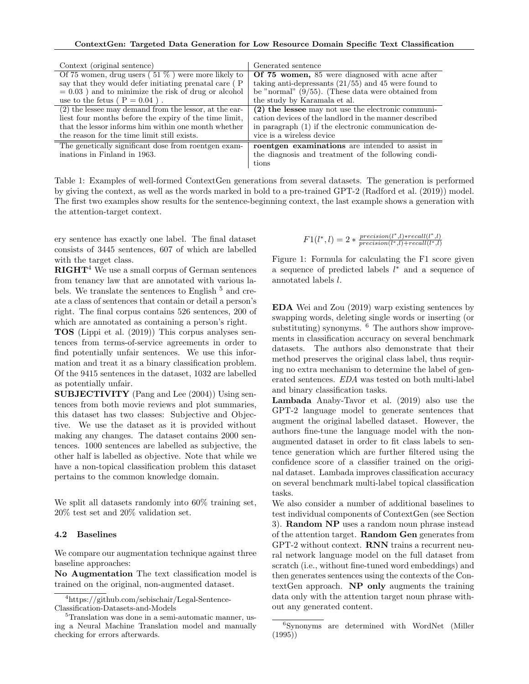| Context (original sentence)                              | Generated sentence                                     |
|----------------------------------------------------------|--------------------------------------------------------|
| Of 75 women, drug users $(51\%)$ were more likely to     | Of 75 women, 85 were diagnosed with acne after         |
| say that they would defer initiating prenatal care (P)   | taking anti-depressants $(21/55)$ and 45 were found to |
| $= 0.03$ ) and to minimize the risk of drug or alcohol   | be "normal" $(9/55)$ . (These data were obtained from  |
| use to the fetus $(P = 0.04)$ .                          | the study by Karamala et al.                           |
| $(2)$ the lessee may demand from the lessor, at the ear- | $(2)$ the lessee may not use the electronic communi-   |
| liest four months before the expiry of the time limit,   | cation devices of the landlord in the manner described |
| that the lessor informs him within one month whether     | in paragraph (1) if the electronic communication de-   |
| the reason for the time limit still exists.              | vice is a wireless device                              |
| The genetically significant dose from roentgen exam-     | roentgen examinations are intended to assist in        |
| inations in Finland in 1963.                             | the diagnosis and treatment of the following condi-    |
|                                                          | tions                                                  |

Table 1: Examples of well-formed ContextGen generations from several datasets. The generation is performed by giving the context, as well as the words marked in bold to a pre-trained GPT-2 (Radford et al. (2019)) model. The first two examples show results for the sentence-beginning context, the last example shows a generation with the attention-target context.

ery sentence has exactly one label. The final dataset consists of 3445 sentences, 607 of which are labelled with the target class.

 $\mathbf{R} \mathbf{I} \mathbf{G} \mathbf{H} \mathbf{T}^4$  We use a small corpus of German sentences from tenancy law that are annotated with various labels. We translate the sentences to English  $<sup>5</sup>$  and cre-</sup> ate a class of sentences that contain or detail a person's right. The final corpus contains 526 sentences, 200 of which are annotated as containing a person's right.

TOS (Lippi et al. (2019)) This corpus analyses sentences from terms-of-service agreements in order to find potentially unfair sentences. We use this information and treat it as a binary classification problem. Of the 9415 sentences in the dataset, 1032 are labelled as potentially unfair.

SUBJECTIVITY (Pang and Lee (2004)) Using sentences from both movie reviews and plot summaries, this dataset has two classes: Subjective and Objective. We use the dataset as it is provided without making any changes. The dataset contains 2000 sentences. 1000 sentences are labelled as subjective, the other half is labelled as objective. Note that while we have a non-topical classification problem this dataset pertains to the common knowledge domain.

We split all datasets randomly into 60% training set, 20% test set and 20% validation set.

#### 4.2 Baselines

We compare our augmentation technique against three baseline approaches:

No Augmentation The text classification model is trained on the original, non-augmented dataset.

$$
F1(l^*, l) = 2 * \frac{precision(l^*, l) * recall(l^*, l)}{precision(l^*, l) + recall(l^*, l)}
$$

Figure 1: Formula for calculating the F1 score given a sequence of predicted labels  $l^*$  and a sequence of annotated labels l.

EDA Wei and Zou (2019) warp existing sentences by swapping words, deleting single words or inserting (or substituting) synonyms. <sup>6</sup> The authors show improvements in classification accuracy on several benchmark datasets. The authors also demonstrate that their method preserves the original class label, thus requiring no extra mechanism to determine the label of generated sentences. EDA was tested on both multi-label and binary classification tasks.

Lambada Anaby-Tavor et al. (2019) also use the GPT-2 language model to generate sentences that augment the original labelled dataset. However, the authors fine-tune the language model with the nonaugmented dataset in order to fit class labels to sentence generation which are further filtered using the confidence score of a classifier trained on the original dataset. Lambada improves classification accuracy on several benchmark multi-label topical classification tasks.

We also consider a number of additional baselines to test individual components of ContextGen (see Section 3). Random NP uses a random noun phrase instead of the attention target. Random Gen generates from GPT-2 without context. RNN trains a recurrent neural network language model on the full dataset from scratch (i.e., without fine-tuned word embeddings) and then generates sentences using the contexts of the ContextGen approach. NP only augments the training data only with the attention target noun phrase without any generated content.

<sup>4</sup>https://github.com/sebischair/Legal-Sentence-Classification-Datasets-and-Models

<sup>&</sup>lt;sup>5</sup>Translation was done in a semi-automatic manner, using a Neural Machine Translation model and manually checking for errors afterwards.

<sup>6</sup>Synonyms are determined with WordNet (Miller (1995))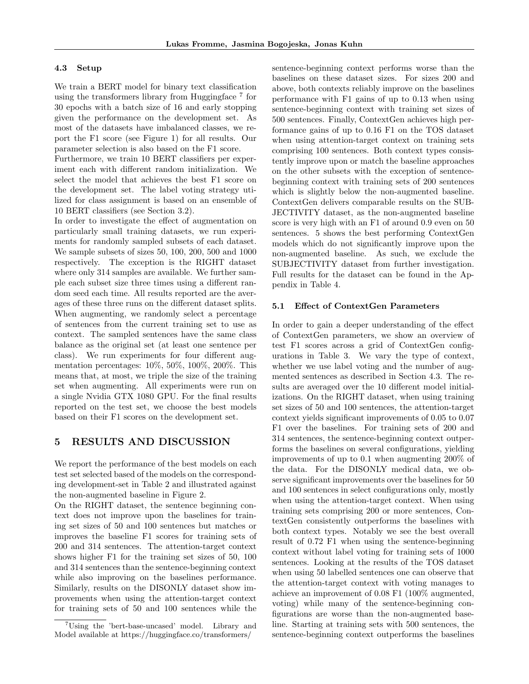#### 4.3 Setup

We train a BERT model for binary text classification using the transformers library from Huggingface <sup>7</sup> for 30 epochs with a batch size of 16 and early stopping given the performance on the development set. As most of the datasets have imbalanced classes, we report the F1 score (see Figure 1) for all results. Our parameter selection is also based on the F1 score.

Furthermore, we train 10 BERT classifiers per experiment each with different random initialization. We select the model that achieves the best F1 score on the development set. The label voting strategy utilized for class assignment is based on an ensemble of 10 BERT classifiers (see Section 3.2).

In order to investigate the effect of augmentation on particularly small training datasets, we run experiments for randomly sampled subsets of each dataset. We sample subsets of sizes 50, 100, 200, 500 and 1000 respectively. The exception is the RIGHT dataset where only 314 samples are available. We further sample each subset size three times using a different random seed each time. All results reported are the averages of these three runs on the different dataset splits. When augmenting, we randomly select a percentage of sentences from the current training set to use as context. The sampled sentences have the same class balance as the original set (at least one sentence per class). We run experiments for four different augmentation percentages: 10%, 50%, 100%, 200%. This means that, at most, we triple the size of the training set when augmenting. All experiments were run on a single Nvidia GTX 1080 GPU. For the final results reported on the test set, we choose the best models based on their F1 scores on the development set.

### 5 RESULTS AND DISCUSSION

We report the performance of the best models on each test set selected based of the models on the corresponding development-set in Table 2 and illustrated against the non-augmented baseline in Figure 2.

On the RIGHT dataset, the sentence beginning context does not improve upon the baselines for training set sizes of 50 and 100 sentences but matches or improves the baseline F1 scores for training sets of 200 and 314 sentences. The attention-target context shows higher F1 for the training set sizes of 50, 100 and 314 sentences than the sentence-beginning context while also improving on the baselines performance. Similarly, results on the DISONLY dataset show improvements when using the attention-target context for training sets of 50 and 100 sentences while the sentence-beginning context performs worse than the baselines on these dataset sizes. For sizes 200 and above, both contexts reliably improve on the baselines performance with F1 gains of up to 0.13 when using sentence-beginning context with training set sizes of 500 sentences. Finally, ContextGen achieves high performance gains of up to 0.16 F1 on the TOS dataset when using attention-target context on training sets comprising 100 sentences. Both context types consistently improve upon or match the baseline approaches on the other subsets with the exception of sentencebeginning context with training sets of 200 sentences which is slightly below the non-augmented baseline. ContextGen delivers comparable results on the SUB-JECTIVITY dataset, as the non-augmented baseline score is very high with an F1 of around 0.9 even on 50 sentences. 5 shows the best performing ContextGen models which do not significantly improve upon the non-augmented baseline. As such, we exclude the SUBJECTIVITY dataset from further investigation. Full results for the dataset can be found in the Appendix in Table 4.

#### 5.1 Effect of ContextGen Parameters

In order to gain a deeper understanding of the effect of ContextGen parameters, we show an overview of test F1 scores across a grid of ContextGen configurations in Table 3. We vary the type of context, whether we use label voting and the number of augmented sentences as described in Section 4.3. The results are averaged over the 10 different model initializations. On the RIGHT dataset, when using training set sizes of 50 and 100 sentences, the attention-target context yields significant improvements of 0.05 to 0.07 F1 over the baselines. For training sets of 200 and 314 sentences, the sentence-beginning context outperforms the baselines on several configurations, yielding improvements of up to 0.1 when augmenting 200% of the data. For the DISONLY medical data, we observe significant improvements over the baselines for 50 and 100 sentences in select configurations only, mostly when using the attention-target context. When using training sets comprising 200 or more sentences, ContextGen consistently outperforms the baselines with both context types. Notably we see the best overall result of 0.72 F1 when using the sentence-beginning context without label voting for training sets of 1000 sentences. Looking at the results of the TOS dataset when using 50 labelled sentences one can observe that the attention-target context with voting manages to achieve an improvement of 0.08 F1 (100% augmented, voting) while many of the sentence-beginning configurations are worse than the non-augmented baseline. Starting at training sets with 500 sentences, the sentence-beginning context outperforms the baselines

<sup>7</sup>Using the 'bert-base-uncased' model. Library and Model available at https://huggingface.co/transformers/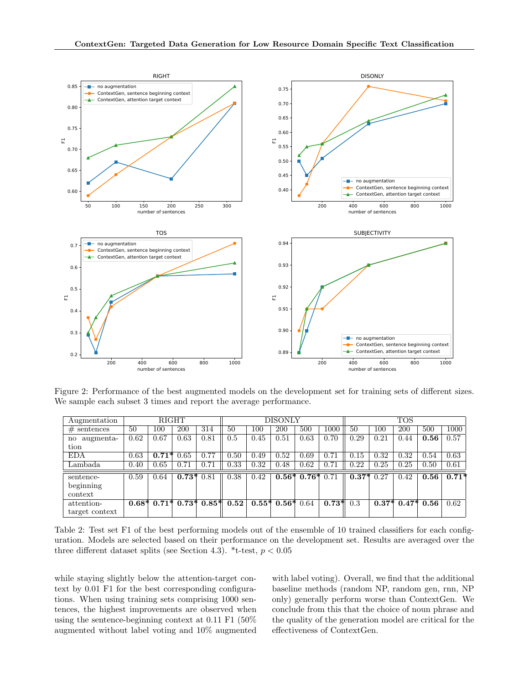

Figure 2: Performance of the best augmented models on the development set for training sets of different sizes. We sample each subset 3 times and report the average performance.

| Augmentation   | RIGHT |         |         |                           |      |      | DISONLY          |                  |         | <b>TOS</b>  |      |              |      |         |
|----------------|-------|---------|---------|---------------------------|------|------|------------------|------------------|---------|-------------|------|--------------|------|---------|
| $#$ sentences  | 50    | 100     | 200     | 314                       | 50   | 100  | 200              | 500              | 1000    | 50          | 100  | 200          | 500  | 1000    |
| no augmenta-   | 0.62  | 0.67    | 0.63    | 0.81                      | 0.5  | 0.45 | 0.51             | 0.63             | 0.70    | 0.29        | 0.21 | 0.44         | 0.56 | 0.57    |
| tion           |       |         |         |                           |      |      |                  |                  |         |             |      |              |      |         |
| <b>EDA</b>     | 0.63  | $0.71*$ | 0.65    | 0.77                      | 0.50 | 0.49 | 0.52             | 0.69             | 0.71    | 0.15        | 0.32 | 0.32         | 0.54 | 0.63    |
| Lambada        | 0.40  | 0.65    | 0.71    | 0.71                      | 0.33 | 0.32 | 0.48             | 0.62             | 0.71    | 0.22        | 0.25 | 0.25         | 0.50 | 0.61    |
| sentence-      | 0.59  | 0.64    | $0.73*$ | 0.81                      | 0.38 | 0.42 |                  | $0.56*0.76*0.71$ |         | $0.37*0.27$ |      | 0.42         | 0.56 | $0.71*$ |
| beginning      |       |         |         |                           |      |      |                  |                  |         |             |      |              |      |         |
| context        |       |         |         |                           |      |      |                  |                  |         |             |      |              |      |         |
| attention-     |       |         |         | $0.68*$ 0.71* 0.73* 0.85* | 0.52 |      | $0.55*0.56*0.64$ |                  | $0.73*$ | 0.3         |      | $0.37*0.47*$ | 0.56 | 0.62    |
| target context |       |         |         |                           |      |      |                  |                  |         |             |      |              |      |         |

Table 2: Test set F1 of the best performing models out of the ensemble of 10 trained classifiers for each configuration. Models are selected based on their performance on the development set. Results are averaged over the three different dataset splits (see Section 4.3). \*t-test,  $p < 0.05$ 

while staying slightly below the attention-target context by 0.01 F1 for the best corresponding configurations. When using training sets comprising 1000 sentences, the highest improvements are observed when using the sentence-beginning context at 0.11 F1 (50% augmented without label voting and 10% augmented with label voting). Overall, we find that the additional baseline methods (random NP, random gen, rnn, NP only) generally perform worse than ContextGen. We conclude from this that the choice of noun phrase and the quality of the generation model are critical for the effectiveness of ContextGen.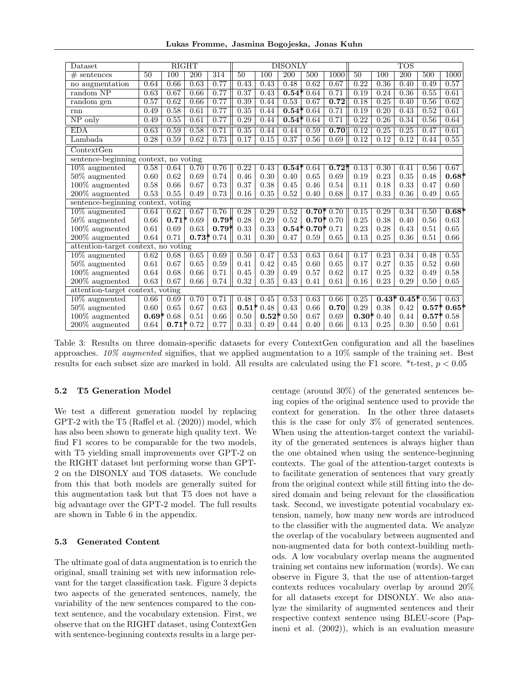Lukas Fromme, Jasmina Bogojeska, Jonas Kuhn

| Dataset                               |          | <b>RIGHT</b>     |                  |                  | <b>DISONLY</b>  |         |                  |                  |             |                   | <b>TOS</b>       |                  |         |         |  |
|---------------------------------------|----------|------------------|------------------|------------------|-----------------|---------|------------------|------------------|-------------|-------------------|------------------|------------------|---------|---------|--|
| $#$ sentences                         | 50       | $\overline{100}$ | $\overline{200}$ | $\overline{314}$ | $\overline{50}$ | 100     | $\overline{200}$ | 500              | 1000        | $\overline{50}$   | $\overline{100}$ | $\overline{200}$ | 500     | 1000    |  |
| no augmentation                       | 0.64     | 0.66             | 0.63             | 0.77             | 0.43            | 0.43    | 0.48             | 0.62             | 0.67        | 0.22              | 0.36             | 0.40             | 0.49    | 0.57    |  |
| random NP                             | 0.63     | 0.67             | 0.66             | 0.77             | 0.37            | 0.43    | $0.54*$          | 0.64             | 0.71        | 0.19              | 0.24             | 0.36             | 0.55    | 0.61    |  |
| random gen                            | 0.57     | 0.62             | 0.66             | 0.77             | 0.39            | 0.44    | 0.53             | 0.67             | 0.72        | 0.18              | 0.25             | 0.40             | 0.56    | 0.62    |  |
| rnn                                   | 0.49     | 0.58             | 0.61             | 0.77             | 0.35            | 0.44    |                  | $0.54*0.64$      | 0.71        | 0.19              | 0.20             | 0.43             | 0.52    | 0.61    |  |
| NP only                               | 0.49     | 0.55             | 0.61             | 0.77             | 0.29            | 0.44    | $0.54*$          | 0.64             | 0.71        | 0.22              | 0.26             | 0.34             | 0.56    | 0.64    |  |
| <b>EDA</b>                            | 0.63     | 0.59             | 0.58             | 0.71             | 0.35            | 0.44    | 0.44             | 0.59             | 0.70        | 0.12              | 0.25             | 0.25             | 0.47    | 0.61    |  |
| Lambada                               | 0.28     | 0.59             | 0.62             | 0.73             | 0.17            | 0.15    | 0.37             | 0.56             | 0.69        | 0.12              | 0.12             | 0.12             | 0.44    | 0.55    |  |
| $\overline{\text{ContextGen}}$        |          |                  |                  |                  |                 |         |                  |                  |             |                   |                  |                  |         |         |  |
| sentence-beginning context, no voting |          |                  |                  |                  |                 |         |                  |                  |             |                   |                  |                  |         |         |  |
| $10\%$ augmented                      | 0.58     | 0.64             | 0.70             | 0.76             | 0.22            | 0.43    | $0.54*$          | 0.64             | $0.72*$     | 0.13              | 0.30             | 0.41             | 0.56    | 0.67    |  |
| $50\%$ augmented                      | 0.60     | 0.62             | 0.69             | 0.74             | 0.46            | 0.30    | 0.40             | 0.65             | 0.69        | 0.19              | 0.23             | 0.35             | 0.48    | $0.68*$ |  |
| $100\%$ augmented                     | 0.58     | 0.66             | 0.67             | 0.73             | 0.37            | 0.38    | 0.45             | 0.46             | 0.54        | 0.11              | 0.18             | 0.33             | 0.47    | 0.60    |  |
| $200\%$ augmented                     | 0.53     | 0.55             | 0.49             | 0.73             | 0.16            | 0.35    | 0.52             | 0.40             | 0.68        | 0.17              | 0.33             | 0.36             | 0.49    | 0.65    |  |
| sentence-beginning context, voting    |          |                  |                  |                  |                 |         |                  |                  |             |                   |                  |                  |         |         |  |
| $10\%$ augmented                      | 0.64     | 0.62             | 0.67             | 0.76             | 0.28            | 0.29    | 0.52             |                  | $0.70*0.70$ | 0.15              | 0.29             | 0.34             | 0.50    | $0.68*$ |  |
| $50\%$ augmented                      | $0.66\,$ |                  | $0.71*0.69$      | $0.79*$          | 0.28            | 0.29    | 0.52             |                  | $0.70*0.70$ | 0.25              | 0.38             | 0.40             | 0.56    | 0.63    |  |
| $100\%$ augmented                     | 0.61     | 0.69             | 0.63             | $0.79*$          | 0.33            | 0.33    |                  | $0.54*0.70*0.71$ |             | 0.23              | 0.28             | 0.43             | 0.51    | 0.65    |  |
| $200\%$ augmented                     | 0.64     | 0.71             |                  | $0.73*0.74$      | 0.31            | 0.30    | 0.47             | 0.59             | 0.65        | 0.13              | 0.25             | 0.36             | 0.51    | 0.66    |  |
| attention-target context, no voting   |          |                  |                  |                  |                 |         |                  |                  |             |                   |                  |                  |         |         |  |
| $10\%$ augmented                      | 0.62     | 0.68             | 0.65             | 0.69             | 0.50            | 0.47    | 0.53             | 0.63             | 0.64        | $0.\overline{17}$ | 0.23             | 0.34             | 0.48    | 0.55    |  |
| $50\%$ augmented                      | 0.61     | 0.67             | 0.65             | 0.59             | 0.41            | 0.42    | 0.45             | 0.60             | 0.65        | 0.17              | 0.27             | 0.35             | 0.52    | 0.60    |  |
| $100\%$ augmented                     | 0.64     | 0.68             | 0.66             | 0.71             | 0.45            | 0.39    | 0.49             | 0.57             | 0.62        | 0.17              | 0.25             | 0.32             | 0.49    | 0.58    |  |
| 200% augmented                        | 0.63     | 0.67             | 0.66             | 0.74             | 0.32            | 0.35    | 0.43             | 0.41             | 0.61        | 0.16              | 0.23             | 0.29             | 0.50    | 0.65    |  |
| attention-target context, voting      |          |                  |                  |                  |                 |         |                  |                  |             |                   |                  |                  |         |         |  |
| $10\%$ augmented                      | 0.66     | 0.69             | 0.70             | 0.71             | 0.48            | 0.45    | 0.53             | 0.63             | 0.66        | 0.25              | $0.43*$          | $0.45*$          | 0.56    | 0.63    |  |
| $50\%$ augmented                      | 0.60     | 0.65             | 0.67             | 0.63             | $0.51*$         | 0.48    | 0.43             | 0.66             | 0.70        | 0.29              | 0.38             | 0.42             | $0.57*$ | $0.65*$ |  |
| $100\%$ augmented                     |          | $0.69*0.68$      | 0.51             | 0.66             | 0.50            | $0.52*$ | 0.50             | 0.67             | 0.69        | $0.30*$           | 0.40             | 0.44             | $0.57*$ | 0.58    |  |
| 200% augmented                        | 0.64     |                  | $0.71*0.72$      | 0.77             | 0.33            | 0.49    | 0.44             | 0.40             | 0.66        | 0.13              | 0.25             | 0.30             | 0.50    | 0.61    |  |

Table 3: Results on three domain-specific datasets for every ContextGen configuration and all the baselines approaches.  $10\%$  augmented signifies, that we applied augmentation to a 10% sample of the training set. Best results for each subset size are marked in bold. All results are calculated using the F1 score. \*t-test,  $p < 0.05$ 

### 5.2 T5 Generation Model

We test a different generation model by replacing GPT-2 with the T5 (Raffel et al. (2020)) model, which has also been shown to generate high quality text. We find F1 scores to be comparable for the two models, with T5 yielding small improvements over GPT-2 on the RIGHT dataset but performing worse than GPT-2 on the DISONLY and TOS datasets. We conclude from this that both models are generally suited for this augmentation task but that T5 does not have a big advantage over the GPT-2 model. The full results are shown in Table 6 in the appendix.

### 5.3 Generated Content

The ultimate goal of data augmentation is to enrich the original, small training set with new information relevant for the target classification task. Figure 3 depicts two aspects of the generated sentences, namely, the variability of the new sentences compared to the context sentence, and the vocabulary extension. First, we observe that on the RIGHT dataset, using ContextGen with sentence-beginning contexts results in a large percentage (around 30%) of the generated sentences being copies of the original sentence used to provide the context for generation. In the other three datasets this is the case for only 3% of generated sentences. When using the attention-target context the variability of the generated sentences is always higher than the one obtained when using the sentence-beginning contexts. The goal of the attention-target contexts is to facilitate generation of sentences that vary greatly from the original context while still fitting into the desired domain and being relevant for the classification task. Second, we investigate potential vocabulary extension, namely, how many new words are introduced to the classifier with the augmented data. We analyze the overlap of the vocabulary between augmented and non-augmented data for both context-building methods. A low vocabulary overlap means the augmented training set contains new information (words). We can observe in Figure 3, that the use of attention-target contexts reduces vocabulary overlap by around 20% for all datasets except for DISONLY. We also analyze the similarity of augmented sentences and their respective context sentence using BLEU-score (Papineni et al. (2002)), which is an evaluation measure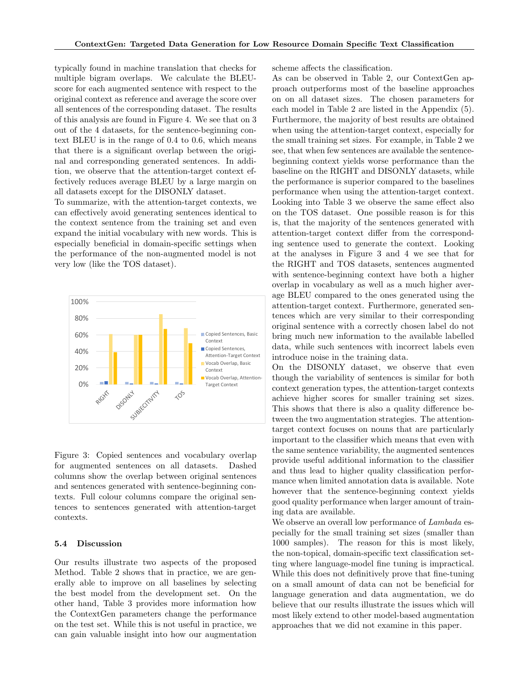typically found in machine translation that checks for multiple bigram overlaps. We calculate the BLEUscore for each augmented sentence with respect to the original context as reference and average the score over all sentences of the corresponding dataset. The results of this analysis are found in Figure 4. We see that on 3 out of the 4 datasets, for the sentence-beginning context BLEU is in the range of 0.4 to 0.6, which means that there is a significant overlap between the original and corresponding generated sentences. In addition, we observe that the attention-target context effectively reduces average BLEU by a large margin on all datasets except for the DISONLY dataset.

To summarize, with the attention-target contexts, we can effectively avoid generating sentences identical to the context sentence from the training set and even expand the initial vocabulary with new words. This is especially beneficial in domain-specific settings when the performance of the non-augmented model is not very low (like the TOS dataset).



Figure 3: Copied sentences and vocabulary overlap for augmented sentences on all datasets. Dashed columns show the overlap between original sentences and sentences generated with sentence-beginning contexts. Full colour columns compare the original sentences to sentences generated with attention-target contexts.

#### 5.4 Discussion

Our results illustrate two aspects of the proposed Method. Table 2 shows that in practice, we are generally able to improve on all baselines by selecting the best model from the development set. On the other hand, Table 3 provides more information how the ContextGen parameters change the performance on the test set. While this is not useful in practice, we can gain valuable insight into how our augmentation scheme affects the classification.

As can be observed in Table 2, our ContextGen approach outperforms most of the baseline approaches on on all dataset sizes. The chosen parameters for each model in Table 2 are listed in the Appendix (5). Furthermore, the majority of best results are obtained when using the attention-target context, especially for the small training set sizes. For example, in Table 2 we see, that when few sentences are available the sentencebeginning context yields worse performance than the baseline on the RIGHT and DISONLY datasets, while the performance is superior compared to the baselines performance when using the attention-target context. Looking into Table 3 we observe the same effect also on the TOS dataset. One possible reason is for this is, that the majority of the sentences generated with attention-target context differ from the corresponding sentence used to generate the context. Looking at the analyses in Figure 3 and 4 we see that for the RIGHT and TOS datasets, sentences augmented with sentence-beginning context have both a higher overlap in vocabulary as well as a much higher average BLEU compared to the ones generated using the attention-target context. Furthermore, generated sentences which are very similar to their corresponding original sentence with a correctly chosen label do not bring much new information to the available labelled data, while such sentences with incorrect labels even introduce noise in the training data.

On the DISONLY dataset, we observe that even though the variability of sentences is similar for both context generation types, the attention-target contexts achieve higher scores for smaller training set sizes. This shows that there is also a quality difference between the two augmentation strategies. The attentiontarget context focuses on nouns that are particularly important to the classifier which means that even with the same sentence variability, the augmented sentences provide useful additional information to the classifier and thus lead to higher quality classification performance when limited annotation data is available. Note however that the sentence-beginning context yields good quality performance when larger amount of training data are available.

We observe an overall low performance of  $Lambdaa$  especially for the small training set sizes (smaller than 1000 samples). The reason for this is most likely, the non-topical, domain-specific text classification setting where language-model fine tuning is impractical. While this does not definitively prove that fine-tuning on a small amount of data can not be beneficial for language generation and data augmentation, we do believe that our results illustrate the issues which will most likely extend to other model-based augmentation approaches that we did not examine in this paper.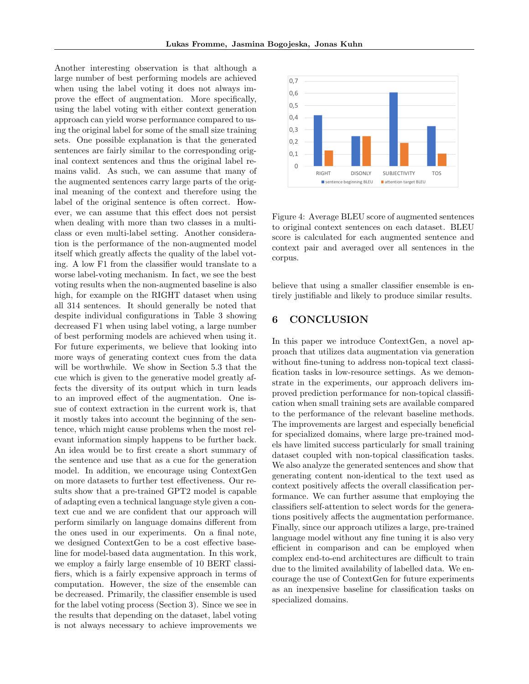Another interesting observation is that although a large number of best performing models are achieved when using the label voting it does not always improve the effect of augmentation. More specifically, using the label voting with either context generation approach can yield worse performance compared to using the original label for some of the small size training sets. One possible explanation is that the generated sentences are fairly similar to the corresponding original context sentences and thus the original label remains valid. As such, we can assume that many of the augmented sentences carry large parts of the original meaning of the context and therefore using the label of the original sentence is often correct. However, we can assume that this effect does not persist when dealing with more than two classes in a multiclass or even multi-label setting. Another consideration is the performance of the non-augmented model itself which greatly affects the quality of the label voting. A low F1 from the classifier would translate to a worse label-voting mechanism. In fact, we see the best voting results when the non-augmented baseline is also high, for example on the RIGHT dataset when using all 314 sentences. It should generally be noted that despite individual configurations in Table 3 showing decreased F1 when using label voting, a large number of best performing models are achieved when using it. For future experiments, we believe that looking into more ways of generating context cues from the data will be worthwhile. We show in Section 5.3 that the cue which is given to the generative model greatly affects the diversity of its output which in turn leads to an improved effect of the augmentation. One issue of context extraction in the current work is, that it mostly takes into account the beginning of the sentence, which might cause problems when the most relevant information simply happens to be further back. An idea would be to first create a short summary of the sentence and use that as a cue for the generation model. In addition, we encourage using ContextGen on more datasets to further test effectiveness. Our results show that a pre-trained GPT2 model is capable of adapting even a technical language style given a context cue and we are confident that our approach will perform similarly on language domains different from the ones used in our experiments. On a final note, we designed ContextGen to be a cost effective baseline for model-based data augmentation. In this work, we employ a fairly large ensemble of 10 BERT classifiers, which is a fairly expensive approach in terms of computation. However, the size of the ensemble can be decreased. Primarily, the classifier ensemble is used for the label voting process (Section 3). Since we see in the results that depending on the dataset, label voting is not always necessary to achieve improvements we



Figure 4: Average BLEU score of augmented sentences to original context sentences on each dataset. BLEU score is calculated for each augmented sentence and context pair and averaged over all sentences in the corpus.

believe that using a smaller classifier ensemble is entirely justifiable and likely to produce similar results.

# 6 CONCLUSION

In this paper we introduce ContextGen, a novel approach that utilizes data augmentation via generation without fine-tuning to address non-topical text classification tasks in low-resource settings. As we demonstrate in the experiments, our approach delivers improved prediction performance for non-topical classification when small training sets are available compared to the performance of the relevant baseline methods. The improvements are largest and especially beneficial for specialized domains, where large pre-trained models have limited success particularly for small training dataset coupled with non-topical classification tasks. We also analyze the generated sentences and show that generating content non-identical to the text used as context positively affects the overall classification performance. We can further assume that employing the classifiers self-attention to select words for the generations positively affects the augmentation performance. Finally, since our approach utilizes a large, pre-trained language model without any fine tuning it is also very efficient in comparison and can be employed when complex end-to-end architectures are difficult to train due to the limited availability of labelled data. We encourage the use of ContextGen for future experiments as an inexpensive baseline for classification tasks on specialized domains.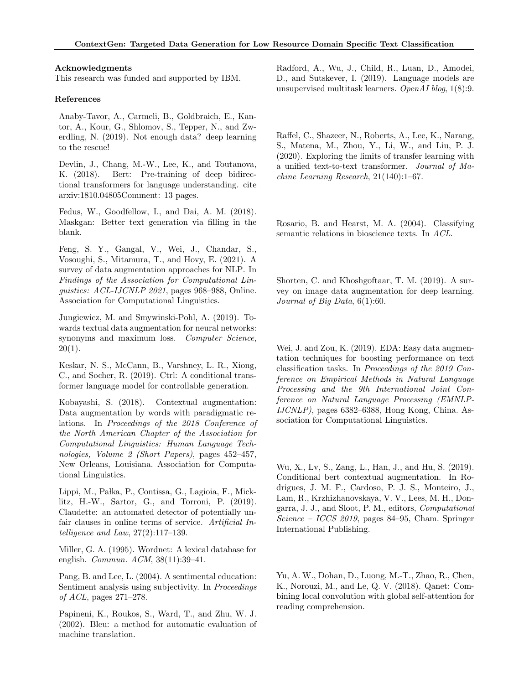#### Acknowledgments

This research was funded and supported by IBM.

### References

Anaby-Tavor, A., Carmeli, B., Goldbraich, E., Kantor, A., Kour, G., Shlomov, S., Tepper, N., and Zwerdling, N. (2019). Not enough data? deep learning to the rescue!

Devlin, J., Chang, M.-W., Lee, K., and Toutanova, K. (2018). Bert: Pre-training of deep bidirectional transformers for language understanding. cite arxiv:1810.04805Comment: 13 pages.

Fedus, W., Goodfellow, I., and Dai, A. M. (2018). Maskgan: Better text generation via filling in the blank.

Feng, S. Y., Gangal, V., Wei, J., Chandar, S., Vosoughi, S., Mitamura, T., and Hovy, E. (2021). A survey of data augmentation approaches for NLP. In Findings of the Association for Computational Linguistics: ACL-IJCNLP 2021, pages 968–988, Online. Association for Computational Linguistics.

Jungiewicz, M. and Smywinski-Pohl, A. (2019). Towards textual data augmentation for neural networks: synonyms and maximum loss. Computer Science,  $20(1)$ .

Keskar, N. S., McCann, B., Varshney, L. R., Xiong, C., and Socher, R. (2019). Ctrl: A conditional transformer language model for controllable generation.

Kobayashi, S. (2018). Contextual augmentation: Data augmentation by words with paradigmatic relations. In Proceedings of the 2018 Conference of the North American Chapter of the Association for Computational Linguistics: Human Language Technologies, Volume 2 (Short Papers), pages 452–457, New Orleans, Louisiana. Association for Computational Linguistics.

Lippi, M., Pałka, P., Contissa, G., Lagioia, F., Micklitz, H.-W., Sartor, G., and Torroni, P. (2019). Claudette: an automated detector of potentially unfair clauses in online terms of service. Artificial Intelligence and Law, 27(2):117–139.

Miller, G. A. (1995). Wordnet: A lexical database for english. *Commun. ACM*, 38(11):39-41.

Pang, B. and Lee, L. (2004). A sentimental education: Sentiment analysis using subjectivity. In Proceedings of ACL, pages 271–278.

Papineni, K., Roukos, S., Ward, T., and Zhu, W. J. (2002). Bleu: a method for automatic evaluation of machine translation.

Radford, A., Wu, J., Child, R., Luan, D., Amodei, D., and Sutskever, I. (2019). Language models are unsupervised multitask learners. OpenAI blog, 1(8):9.

Raffel, C., Shazeer, N., Roberts, A., Lee, K., Narang, S., Matena, M., Zhou, Y., Li, W., and Liu, P. J. (2020). Exploring the limits of transfer learning with a unified text-to-text transformer. Journal of Machine Learning Research, 21(140):1–67.

Rosario, B. and Hearst, M. A. (2004). Classifying semantic relations in bioscience texts. In ACL.

Shorten, C. and Khoshgoftaar, T. M. (2019). A survey on image data augmentation for deep learning. Journal of Big Data,  $6(1):60$ .

Wei, J. and Zou, K. (2019). EDA: Easy data augmentation techniques for boosting performance on text classification tasks. In Proceedings of the 2019 Conference on Empirical Methods in Natural Language Processing and the 9th International Joint Conference on Natural Language Processing (EMNLP-IJCNLP), pages 6382–6388, Hong Kong, China. Association for Computational Linguistics.

Wu, X., Lv, S., Zang, L., Han, J., and Hu, S. (2019). Conditional bert contextual augmentation. In Rodrigues, J. M. F., Cardoso, P. J. S., Monteiro, J., Lam, R., Krzhizhanovskaya, V. V., Lees, M. H., Dongarra, J. J., and Sloot, P. M., editors, Computational Science – ICCS 2019, pages 84–95, Cham. Springer International Publishing.

Yu, A. W., Dohan, D., Luong, M.-T., Zhao, R., Chen, K., Norouzi, M., and Le, Q. V. (2018). Qanet: Combining local convolution with global self-attention for reading comprehension.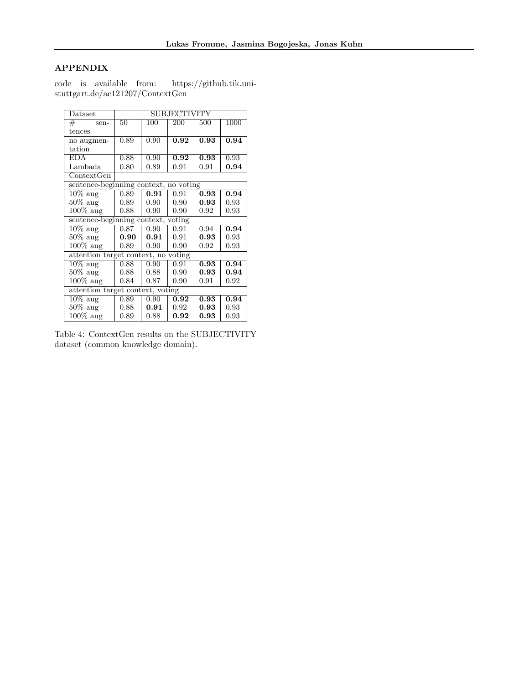# APPENDIX

| $\mathrm{D} \mathrm{at } \mathrm{as } \mathrm{et }$ | SUBJECTIVITY |                |                   |                   |      |  |  |  |  |  |
|-----------------------------------------------------|--------------|----------------|-------------------|-------------------|------|--|--|--|--|--|
| #<br>sen-                                           | 50           | 100            | 200               | 500               | 1000 |  |  |  |  |  |
| tences                                              |              |                |                   |                   |      |  |  |  |  |  |
| no augmen-                                          | 0.89         | 0.90           | 0.92              | 0.93              | 0.94 |  |  |  |  |  |
| tation                                              |              |                |                   |                   |      |  |  |  |  |  |
| <b>EDA</b>                                          | 0.88         | 0.90           | $\overline{0.92}$ | 0.93              | 0.93 |  |  |  |  |  |
| Lambada                                             | 0.80         | 0.89           | 0.91              | 0.91              | 0.94 |  |  |  |  |  |
| ContextGen                                          |              |                |                   |                   |      |  |  |  |  |  |
| sentence-beginning context, no voting               |              |                |                   |                   |      |  |  |  |  |  |
| $10\%$ aug                                          | 0.89         | 0.91           | 0.91              | 0.93              | 0.94 |  |  |  |  |  |
| $50\%$ aug                                          | 0.89         | $0.90^{\circ}$ | 0.90              | 0.93              | 0.93 |  |  |  |  |  |
| $100\%$ aug                                         | 0.88         | 0.90           | 0.90              | 0.92              | 0.93 |  |  |  |  |  |
| sentence-beginning context, voting                  |              |                |                   |                   |      |  |  |  |  |  |
| $\overline{10\% \text{ aug}}$                       | 0.87         | 0.90           | 0.91              | 0.94              | 0.94 |  |  |  |  |  |
| $50\%$ aug                                          | 0.90         | 0.91           | 0.91              | 0.93              | 0.93 |  |  |  |  |  |
| $100\%$ aug                                         | 0.89         | 0.90           | 0.90              | 0.92              | 0.93 |  |  |  |  |  |
| attention target context, no voting                 |              |                |                   |                   |      |  |  |  |  |  |
| $\overline{10\%}$ aug                               | 0.88         | 0.90           | 0.91              | $\overline{0.93}$ | 0.94 |  |  |  |  |  |
| $50\%$ aug                                          | 0.88         | 0.88           | 0.90              | 0.93              | 0.94 |  |  |  |  |  |
| $100\%$ aug                                         | 0.84         | 0.87           | 0.90              | 0.91              | 0.92 |  |  |  |  |  |
| attention target context, voting                    |              |                |                   |                   |      |  |  |  |  |  |
| $\overline{10\%}$ aug                               | 0.89         | 0.90           | 0.92              | 0.93              | 0.94 |  |  |  |  |  |
| $50\%$ aug                                          | 0.88         | 0.91           | 0.92              | 0.93              | 0.93 |  |  |  |  |  |
| $100\%$ aug                                         | 0.89         | 0.88           | 0.92              | 0.93              | 0.93 |  |  |  |  |  |

code is available from: https://github.tik.unistuttgart.de/ac121207/ContextGen

Table 4: ContextGen results on the SUBJECTIVITY dataset (common knowledge domain).